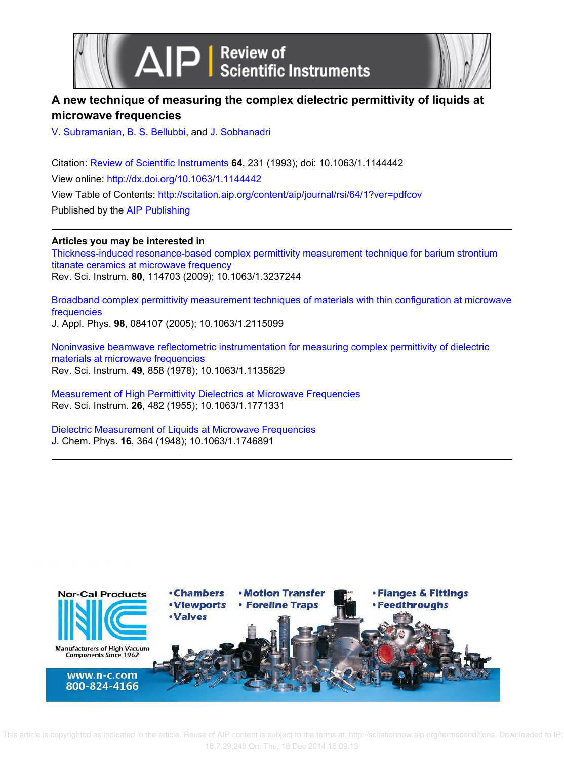



# **A new technique of measuring the complex dielectric permittivity of liquids at microwave frequencies**

V. Subramanian, B. S. Bellubbi, and J. Sobhanadri

Citation: Review of Scientific Instruments **64**, 231 (1993); doi: 10.1063/1.1144442 View online: http://dx.doi.org/10.1063/1.1144442 View Table of Contents: http://scitation.aip.org/content/aip/journal/rsi/64/1?ver=pdfcov Published by the AIP Publishing

**Articles you may be interested in**

Thickness-induced resonance-based complex permittivity measurement technique for barium strontium titanate ceramics at microwave frequency Rev. Sci. Instrum. **80**, 114703 (2009); 10.1063/1.3237244

Broadband complex permittivity measurement techniques of materials with thin configuration at microwave frequencies

J. Appl. Phys. **98**, 084107 (2005); 10.1063/1.2115099

Noninvasive beamwave reflectometric instrumentation for measuring complex permittivity of dielectric materials at microwave frequencies Rev. Sci. Instrum. **49**, 858 (1978); 10.1063/1.1135629

Measurement of High Permittivity Dielectrics at Microwave Frequencies Rev. Sci. Instrum. **26**, 482 (1955); 10.1063/1.1771331

Dielectric Measurement of Liquids at Microwave Frequencies J. Chem. Phys. **16**, 364 (1948); 10.1063/1.1746891



 This article is copyrighted as indicated in the article. Reuse of AIP content is subject to the terms at: http://scitationnew.aip.org/termsconditions. Downloaded to IP: 18.7.29.240 On: Thu, 18 Dec 2014 16:09:13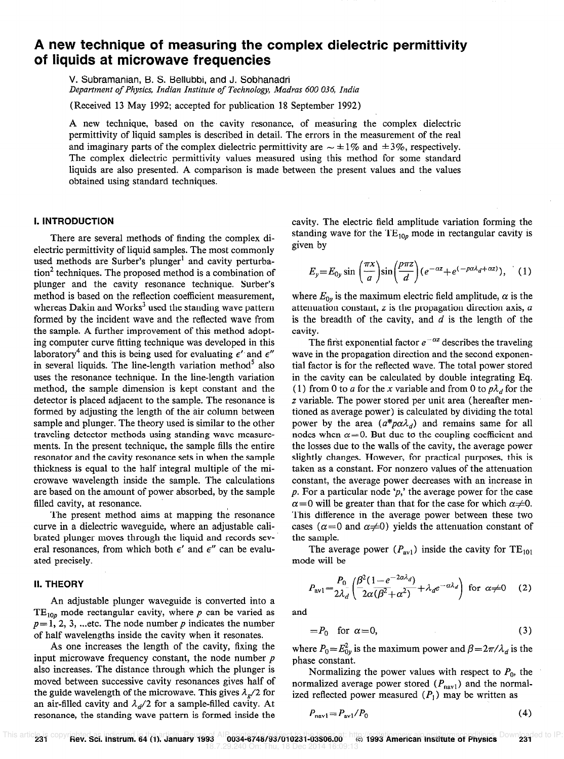## A new technique of measuring the complex dielectric permittivity of liquids at microwave frequencies

V. Subramanian, B. S. Bellubbi, and J. Sobhanadri Department of Physics, Indian Institute of Technology, Madras 600 036, India

(Received 13 May 1992; accepted for publication 18 September 1992)

A new technique, based on the cavity resonance, of measuring the complex dielectric permittivity of liquid samples is described in detail. The errors in the measurement of the real and imaginary parts of the complex dielectric permittivity are  $\sim \pm 1\%$  and  $\pm 3\%$ , respectively. The complex dielectric permittivity values measured using this method for some standard liquids are also presented. A comparison is made between the present values and the values obtained using standard techniques.

## I. INTRODUCTION

There are several methods of finding the complex dielectric permittivity of liquid samples. The most commonly used methods are Surber's plunger<sup>1</sup> and cavity perturbation' techniques. The proposed method is a combination of plunger and the cavity resonance technique. Surber's method is based on the reflection coefficient measurement, whereas Dakin and Works<sup>3</sup> used the standing wave pattern formed by the incident wave and the reflected wave from the sample. A further improvement of this method adopting computer curve fitting technique was developed in this laboratory<sup>4</sup> and this is being used for evaluating  $\epsilon'$  and  $\epsilon''$ in several liquids. The line-length variation method<sup>5</sup> also uses the resonance technique. In the line-length variation method, the sample dimension is kept constant and the detector is placed adjacent to the sample. The resonance is formed by adjusting the length of the air column between sample and plunger. The theory used is similar to the other traveling detector methods using standing wave measurements. In the present technique, the sample fills the entire resonator and the cavity resonance sets in when the sample thickness is equal to the half integral multiple of the microwave wavelength inside the sample. The calculations are based on the amount of power absorbed, by the sample filled cavity, at resonance.

The present method aims at mapping the resonance curve in a dielectric waveguide, where an adjustable calibrated plunger moves through the liquid and records several resonances, from which both  $\epsilon'$  and  $\epsilon''$  can be evaluated precisely.

### II. THEORY

An adjustable plunger waveguide is converted into a TE<sub>10p</sub> mode rectangular cavity, where p can be varied as  $p=1, 2, 3, \dots$ etc. The node number p indicates the number of half wavelengths inside the cavity when it resonates.

As one increases the length of the cavity, fixing the input microwave frequency constant, the node number  $p$ also increases. The distance through which the plunger is moved between successive cavity resonances gives half of the guide wavelength of the microwave. This gives  $\lambda_{p}/2$  for an air-filled cavity and  $\lambda_d/2$  for a sample-filled cavity. At resonance, the standing wave pattern is formed inside the cavity. The electric field amplitude variation forming the standing wave for the  $TE_{10p}$  mode in rectangular cavity is given by

$$
E_y = E_{0y} \sin\left(\frac{\pi x}{a}\right) \sin\left(\frac{p\pi z}{d}\right) \left(e^{-\alpha z} + e^{(-p\alpha \lambda_d + \alpha z)}\right), \quad (1)
$$

where  $E_{0y}$  is the maximum electric field amplitude,  $\alpha$  is the attenuation constant,  $z$  is the propagation direction axis,  $a$ is the breadth of the cavity, and  $d$  is the length of the cavity.

The first exponential factor  $e^{-\alpha z}$  describes the traveling wave in the propagation direction and the second exponential factor is for the reflected wave. The total power stored in the cavity can be calculated by double integrating Eq. (1) from 0 to a for the x variable and from 0 to  $p\lambda_d$  for the z variable. The power stored per unit area (hereafter mentioned as average power) is calculated by dividing the total power by the area  $(a^*p\alpha\lambda_d)$  and remains same for all nodes when  $\alpha = 0$ . But due to the coupling coefficient and the losses due to the walls of the cavity, the average power slightly changes. However, for practical purposes, this is taken as a constant. For nonzero values of the attenuation constant, the average power decreases with an increase in p. For a particular node ' $p$ ,' the average power for the case  $\alpha$ =0 will be greater than that for the case for which  $\alpha \neq 0$ . This difference in the average power between these two cases ( $\alpha$ =0 and  $\alpha \neq 0$ ) yields the attenuation constant of the sample.

The average power  $(P_{\text{av1}})$  inside the cavity for TE<sub>101</sub> mode will be

$$
P_{\text{av1}} = \frac{P_0}{2\lambda_d} \left( \frac{\beta^2 (1 - e^{-2\alpha\lambda_d})}{2\alpha(\beta^2 + \alpha^2)} + \lambda_d e^{-\alpha\lambda_d} \right) \text{ for } \alpha \neq 0 \quad (2)
$$

and

$$
=P_0 \quad \text{for } \alpha=0,\tag{3}
$$

where  $P_0 = E_{0y}^2$  is the maximum power and  $\beta = 2\pi/\lambda_d$  is the phase constant.

Normalizing the power values with respect to  $P_0$ , the normalized average power stored  $(P_{\text{nav1}})$  and the normalized reflected power measured  $(P_1)$  may be written as

$$
P_{\text{nav1}} = P_{\text{av1}} / P_0 \tag{4}
$$

This article is copyrighted as indicated is (1), January 1993 AID 0634-6748/93/010231-03\$06.00<sup>th</sup> (6) 1993 American Institute of Physics Downloaded to IP 18.7.29.240 On: Thu, 18 Dec 2014 16:09:13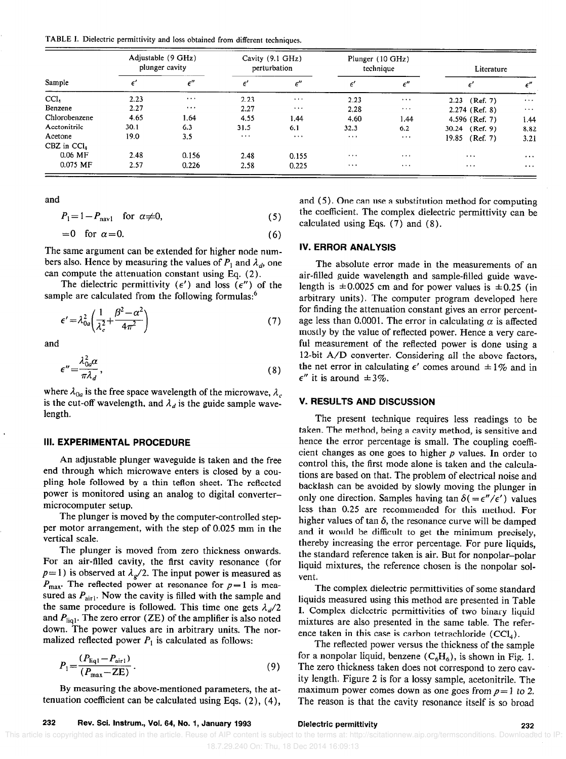TABLE I. Dielectric permittivity and loss obtained from different techniques.

| Sample           | Adjustable $(9 \text{ GHz})$<br>plunger cavity |                                     | Cavity (9.1 GHz)<br>perturbation |                      | Plunger (10 GHz)<br>technique |                           | Literature        |                         |
|------------------|------------------------------------------------|-------------------------------------|----------------------------------|----------------------|-------------------------------|---------------------------|-------------------|-------------------------|
|                  |                                                | $\epsilon^n$                        | $\epsilon'$                      | $\epsilon$ "         | $\epsilon'$                   | $\epsilon^{\prime\prime}$ | $\epsilon'$       | $\epsilon''$            |
| CCl <sub>4</sub> | 2.23                                           | $\bullet$ .<br><br><br><br><br><br> | 2.23                             | $\sim$ $\sim$ $\sim$ | 2.23                          | $\sim$ $\sim$             | (Ref. 7)<br>2.23  | $\sim$ $\sim$ $\sim$    |
| Benzene          | 2.27                                           | $\cdots$                            | 2.27                             | $\cdots$             | 2.28                          | $\sim$ $\sim$ $\sim$      | $2.274$ (Ref. 8)  | $\alpha$ , and $\alpha$ |
| Chlorobenzene    | 4.65                                           | 1.64                                | 4.55                             | 1.44                 | 4.60                          | 1.44                      | 4.596 (Ref. 7)    | 1.44                    |
| Acctonitrile     | 30.1                                           | 6.3                                 | 31.5                             | 6.1                  | 32.3                          | 6.2                       | 30.24 (Ref. 9)    | 8,82                    |
| Acetone          | 19.0                                           | 3.5                                 | $\cdots$                         | $\cdots$             | $\cdots$                      | $\cdots$                  | (Ref. 7)<br>19.85 | 3.21                    |
| $CBZ$ in $CCL$   |                                                |                                     |                                  |                      |                               |                           |                   |                         |
| $0.06$ MF        | 2.48                                           | 0.156                               | 2.48                             | 0.155                | $\cdots$                      | $\cdots$                  | $\cdots$          | $\cdots$                |
| 0.075 MF         | 2.57                                           | 0.226                               | 2.58                             | 0.225                | $\cdots$                      | $\cdots$                  | $\cdots$          | $\cdots$                |

and

$$
P_1 = 1 - P_{\text{nav1}} \quad \text{for } \alpha \neq 0,
$$
 (5)

$$
=0 \quad \text{for } \alpha=0. \tag{6}
$$

The same argument can be extended for higher node numbers also. Hence by measuring the values of  $P_1$  and  $\lambda_d$ , one can compute the attenuation constant using Eq. (2).

The dielectric permittivity ( $\epsilon'$ ) and loss ( $\epsilon''$ ) of the sample are calculated from the following formulas:<sup>6</sup>

$$
\epsilon' = \lambda_{0a}^2 \left( \frac{1}{\lambda_c^2} + \frac{\beta^2 - \alpha^2}{4\pi^2} \right) \tag{7}
$$

and

$$
\epsilon'' = \frac{\lambda_{0a}^2 \alpha}{\pi \lambda_d},\tag{8}
$$

where  $\lambda_{0a}$  is the free space wavelength of the microwave,  $\lambda_c$ is the cut-off wavelength, and  $\lambda_d$  is the guide sample wavelength.

## III. EXPERIMENTAL PROCEDURE

An adjustable plunger waveguide is taken and the free end through which microwave enters is closed by a coupling hole followed by a thin teflon sheet. The reflected power is monitored using an analog to digital convertermicrocomputer setup.

The plunger is moved by the computer-controlled stepper motor arrangement, with the step of 0.025 mm in the vertical scale.

The plunger is moved from zero thickness onwards. For an air-filled cavity, the first cavity resonance (for  $p=1$ ) is observed at  $\lambda_{g}/2$ . The input power is measured as  $P_{\text{max}}$ . The reflected power at resonance for  $p=1$  is measured as  $P_{\text{air1}}$ . Now the cavity is filled with the sample and the same procedure is followed. This time one gets  $\lambda_d/2$ and  $P_{\text{liq1}}$ . The zero error (ZE) of the amplifier is also noted down. The power values are in arbitrary units. The normalized reflected power  $P_1$  is calculated as follows:

$$
P_1 = \frac{(P_{\text{liq1}} - P_{\text{air1}})}{(P_{\text{max}} - \text{ZE})} \,. \tag{9}
$$

By measuring the above-mentioned parameters, the attenuation coefficient can be calculated using Eqs. (2), (4),

and (5). One can use a substitution method for computing the coefficient. The complex dielectric permittivity can be calculated using Eqs. (7) and (8).

### **IV. ERROR ANALYSIS**

The absolute error made in the measurements of an air-filled guide wavelength and sample-filled guide wavelength is  $\pm 0.0025$  cm and for power values is  $\pm 0.25$  (in arbitrary units). The computer program developed here for finding the attenuation constant gives an error percentage less than 0.0001. The error in calculating  $\alpha$  is affected mostly by the value of reflected power. Hence a very careful measurement of the reflected power is done using a 12-bit A/D converter. Considering all the above factors, the net error in calculating  $\epsilon'$  comes around  $\pm 1\%$  and in  $\epsilon''$  it is around  $\pm 3\%$ .

#### **V. RESULTS AND DISCUSSION**

The present technique requires less readings to be taken. The method, being a cavity method, is sensitive and hence the error percentage is small. The coupling coefficient changes as one goes to higher  $p$  values. In order to control this, the first mode alone is taken and the calculations are based on that. The problem of electrical noise and backlash can be avoided by slowly moving the plunger in only one direction. Samples having  $\tan \delta = \epsilon''/\epsilon'$  values less than 0.25 are recommended for this method. For higher values of  $tan \delta$ , the resonance curve will be damped and it would be difficult to get the minimum precisely, thereby increasing the error percentage. For pure liquids, the standard reference taken is air. But for nonpolar-polar liquid mixtures, the reference chosen is the nonpolar solvent.

The complex dielectric permittivities of some standard liquids measured using this method are presented in Table I. Complex dielectric permittivities of two binary liquid mixtures are also presented in the same table. The reference taken in this case is carbon tetrachloride  $(CCl<sub>4</sub>)$ .

The reflected power versus the thickness of the sample for a nonpolar liquid, benzene  $(C_6H_6)$ , is shown in Fig. 1. The zero thickness taken does not correspond to zero cavity length. Figure 2 is for a lossy sample, acetonitrile. The maximum power comes down as one goes from  $p=1$  to 2. The reason is that the cavity resonance itself is so broad

232

#### Dielectric permittivity

This article is copyrighted as indicated in the article. Reuse of AIP content is subject to the terms at: http://scitationnew.aip.org/termsconditions. Downloaded to IP: 18.7.29.240 On: Thu, 18 Dec 2014 16:09:13